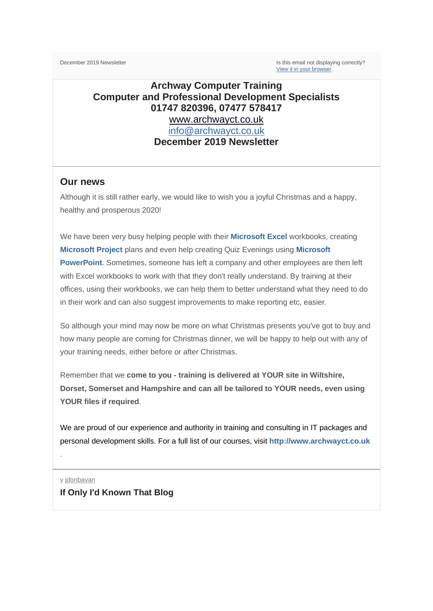December 2019 Newsletter **Is this email not displaying correctly**? [View it in your browser.](https://us2.campaign-archive.com/?e=&u=57e6cd5c53ab47d556d5472c8&id=07ede5aa41)

## **Archway Computer Training Computer and Professional Development Specialists 01747 820396, 07477 578417** [www.archwayct.co.uk](http://www.archwayct.co.uk/) [info@archwayct.co.uk](mailto:%20info@archwayct.co.uk)

**December 2019 Newsletter**

### **Our news**

Although it is still rather early, we would like to wish you a joyful Christmas and a happy, healthy and prosperous 2020!

We have been very busy helping people with their **[Microsoft Excel](http://www.archwayct.co.uk/microsoft-office-training/microsoft-excel-training)** workbooks, creating **[Microsoft Project](http://www.archwayct.co.uk/it-training/microsoft-project-training)** plans and even help creating Quiz Evenings using **[Microsoft](http://www.archwayct.co.uk/microsoft-office-training/microsoft-powerpoint-training)  [PowerPoint](http://www.archwayct.co.uk/microsoft-office-training/microsoft-powerpoint-training)**. Sometimes, someone has left a company and other employees are then left with Excel workbooks to work with that they don't really understand. By training at their offices, using their workbooks, we can help them to better understand what they need to do in their work and can also suggest improvements to make reporting etc, easier.

So although your mind may now be more on what Christmas presents you've got to buy and how many people are coming for Christmas dinner, we will be happy to help out with any of your training needs, either before or after Christmas.

Remember that we **come to you - training is delivered at YOUR site in Wiltshire, Dorset, Somerset and Hampshire and can all be tailored to YOUR needs, even using YOUR files if required**.

We are proud of our experience and authority in training and consulting in IT packages and personal development skills. For a full list of our courses, visit **[http://www.archwayct.co.uk](http://www.archwayct.co.uk/)**

y [jdonbavan](https://ifonlyidknownthat.wordpress.com/author/jdonbavand/) **If Only I'd Known That Blog**

.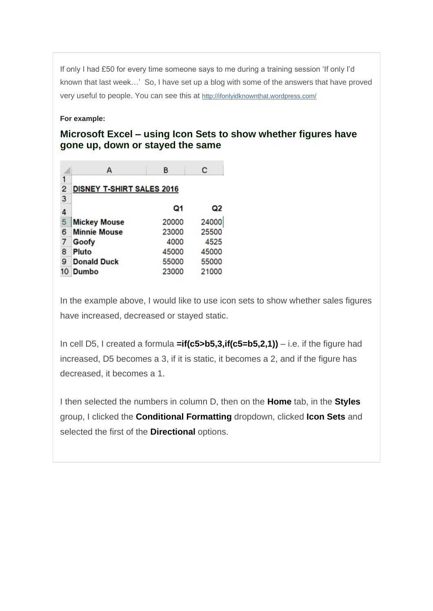If only I had £50 for every time someone says to me during a training session 'If only I'd known that last week…' So, I have set up a blog with some of the answers that have proved very useful to people. You can see this at <http://ifonlyidknownthat.wordpress.com/>

#### **For example:**

## **Microsoft Excel – using Icon Sets to show whether figures have gone up, down or stayed the same**

|   | А                                | В     | с     |
|---|----------------------------------|-------|-------|
|   |                                  |       |       |
| 2 | <b>DISNEY T-SHIRT SALES 2016</b> |       |       |
| 3 |                                  |       |       |
| 4 |                                  | Ω1    | Q2    |
| 5 | <b>Mickey Mouse</b>              | 20000 | 24000 |
| 6 | <b>Minnie Mouse</b>              | 23000 | 25500 |
|   | Goofy                            | 4000  | 4525  |
| 8 | Pluto                            | 45000 | 45000 |
| 9 | <b>Donald Duck</b>               | 55000 | 55000 |
|   | <b>Dumbo</b>                     | 23000 | 21000 |

In the example above, I would like to use icon sets to show whether sales figures have increased, decreased or stayed static.

In cell D5, I created a formula **=if(c5>b5,3,if(c5=b5,2,1))** – i.e. if the figure had increased, D5 becomes a 3, if it is static, it becomes a 2, and if the figure has decreased, it becomes a 1.

I then selected the numbers in column D, then on the **Home** tab, in the **Styles** group, I clicked the **Conditional Formatting** dropdown, clicked **Icon Sets** and selected the first of the **Directional** options.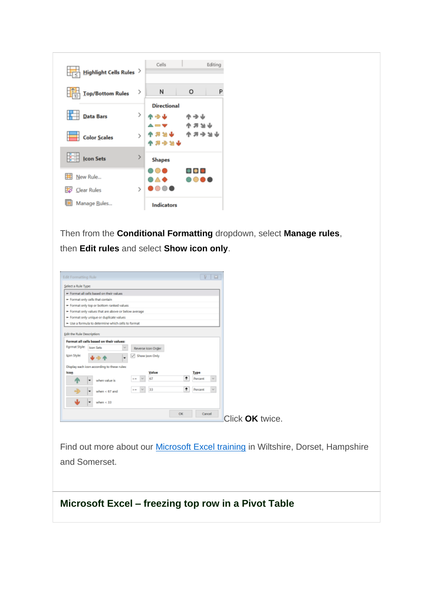| Highlight Cells Rules   |                 | Cells                     |                       | Editing |
|-------------------------|-----------------|---------------------------|-----------------------|---------|
| <b>Top/Bottom Rules</b> | ->              | И                         | O                     | P       |
| <b>Data Bars</b>        | >               | <b>Directional</b><br>个一山 | <b>- 1</b><br>* * * * |         |
| <b>Color Scales</b>     | $\mathcal{E}$   | 山比尼人<br>小的令人个             | ホスラント                 |         |
| $\frac{1}{2}$ Icon Sets | <sup>&gt;</sup> | <b>Shapes</b>             |                       |         |
| New Rule<br>Clear Rules | $\mathcal{P}$   | ∙∆∙                       |                       |         |
| Manage Rules            |                 | <b>Indicators</b>         |                       |         |

Then from the **Conditional Formatting** dropdown, select **Manage rules**, then **Edit rules** and select **Show icon only**.

|                                   | - Format all cells based on their values             |                                       |                               |  |
|-----------------------------------|------------------------------------------------------|---------------------------------------|-------------------------------|--|
| - Format only cells that contain  |                                                      |                                       |                               |  |
|                                   | - Format only top or bottom ranked values            |                                       |                               |  |
|                                   | - Format only values that are above or below average |                                       |                               |  |
|                                   | - Format only unique or duplicate values             |                                       |                               |  |
|                                   | - Use a formula to determine which cells to format   |                                       |                               |  |
|                                   |                                                      |                                       |                               |  |
| <b>Edit the Rule Description:</b> |                                                      |                                       |                               |  |
|                                   | Format all cells based on their values:              |                                       |                               |  |
| Format Style:                     | Icon Sets                                            | ×<br>Reverse Icon Order               |                               |  |
| Igon Style:                       |                                                      | Show Joan Only<br>M                   |                               |  |
|                                   | Display each icon according to these rules:          |                                       |                               |  |
|                                   |                                                      | Value                                 | Type                          |  |
| lcon                              |                                                      | 67                                    | 生<br><b>Percent</b><br>w      |  |
|                                   | when value is.                                       | to an                                 |                               |  |
|                                   | when $< 67$ and<br>٠                                 | 33<br>$\mathcal{H}$<br>$ n\rangle$ as | 生<br><b>Percent</b><br>$\sim$ |  |

Find out more about our **Microsoft Excel training** in Wiltshire, Dorset, Hampshire and Somerset.

**Microsoft Excel – freezing top row in a Pivot Table**